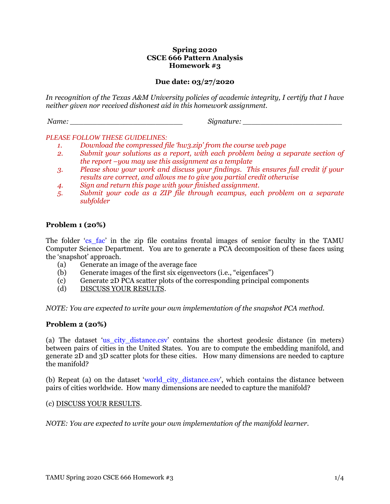### **Spring 2020 CSCE 666 Pattern Analysis Homework #3**

## **Due date: 03/27/2020**

*In recognition of the Texas A&M University policies of academic integrity, I certify that I have neither given nor received dishonest aid in this homework assignment.*

*Name: \_\_\_\_\_\_\_\_\_\_\_\_\_\_\_\_\_\_\_\_\_\_\_\_\_ Signature: \_\_\_\_\_\_\_\_\_\_\_\_\_\_\_\_\_\_\_\_\_\_*

#### *PLEASE FOLLOW THESE GUIDELINES:*

- *1. Download the compressed file 'hw3.zip' from the course web page*
- *2. Submit your solutions as a report, with each problem being a separate section of the report –you may use this assignment as a template*
- *3. Please show your work and discuss your findings. This ensures full credit if your results are correct, and allows me to give you partial credit otherwise*
- *4. Sign and return this page with your finished assignment.*
- *5. Submit your code as a ZIP file through ecampus, each problem on a separate subfolder*

## **Problem 1 (20%)**

The folder 'cs fac' in the zip file contains frontal images of senior faculty in the TAMU Computer Science Department. You are to generate a PCA decomposition of these faces using the 'snapshot' approach.

- (a) Generate an image of the average face
- (b) Generate images of the first six eigenvectors (i.e., "eigenfaces")
- (c) Generate 2D PCA scatter plots of the corresponding principal components
- (d) DISCUSS YOUR RESULTS.

*NOTE: You are expected to write your own implementation of the snapshot PCA method.*

#### **Problem 2 (20%)**

(a) The dataset 'us\_city\_distance.csv' contains the shortest geodesic distance (in meters) between pairs of cities in the United States. You are to compute the embedding manifold, and generate 2D and 3D scatter plots for these cities. How many dimensions are needed to capture the manifold?

(b) Repeat (a) on the dataset 'world\_city\_distance.csv', which contains the distance between pairs of cities worldwide. How many dimensions are needed to capture the manifold?

#### (c) DISCUSS YOUR RESULTS.

*NOTE: You are expected to write your own implementation of the manifold learner.*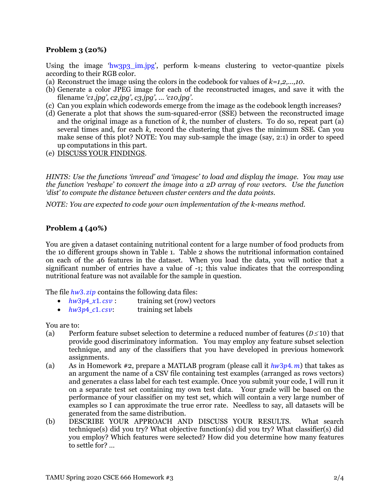# **Problem 3 (20%)**

Using the image 'hw3p3\_im.jpg', perform k-means clustering to vector-quantize pixels according to their RGB color.

- (a) Reconstruct the image using the colors in the codebook for values of *k=1,2,…,10*.
- (b) Generate a color JPEG image for each of the reconstructed images, and save it with the filename *'c1.jpg', c2.jpg', c3.jpg', … 'c10.jpg'*.
- (c) Can you explain which codewords emerge from the image as the codebook length increases?
- (d) Generate a plot that shows the sum-squared-error (SSE) between the reconstructed image and the original image as a function of *k*, the number of clusters. To do so, repeat part (a) several times and, for each *k*, record the clustering that gives the minimum SSE. Can you make sense of this plot? NOTE: You may sub-sample the image (say, 2:1) in order to speed up computations in this part.
- (e) DISCUSS YOUR FINDINGS.

*HINTS: Use the functions 'imread' and 'imagesc' to load and display the image. You may use the function 'reshape' to convert the image into a 2D array of row vectors. Use the function 'dist' to compute the distance between cluster centers and the data points.*

*NOTE: You are expected to code your own implementation of the k-means method.*

# **Problem 4 (40%)**

You are given a dataset containing nutritional content for a large number of food products from the 10 different groups shown in Table 1. Table 2 shows the nutritional information contained on each of the 46 features in the dataset. When you load the data, you will notice that a significant number of entries have a value of -1; this value indicates that the corresponding nutritional feature was not available for the sample in question.

The file  $hw3. zip$  contains the following data files:

- $hw3p4_x1.csv$ : training set (row) vectors
- $hw3p4$   $c1.csv$ : training set labels

You are to:

- (a) Perform feature subset selection to determine a reduced number of features ( $D \le 10$ ) that provide good discriminatory information. You may employ any feature subset selection technique, and any of the classifiers that you have developed in previous homework assignments.
- (a) As in Homework #2, prepare a MATLAB program (please call it  $hw3p4. m$ ) that takes as an argument the name of a CSV file containing test examples (arranged as rows vectors) and generates a class label for each test example. Once you submit your code, I will run it on a separate test set containing my own test data. Your grade will be based on the performance of your classifier on my test set, which will contain a very large number of examples so I can approximate the true error rate. Needless to say, all datasets will be generated from the same distribution.
- (b) DESCRIBE YOUR APPROACH AND DISCUSS YOUR RESULTS. What search technique(s) did you try? What objective function(s) did you try? What classifier(s) did you employ? Which features were selected? How did you determine how many features to settle for? …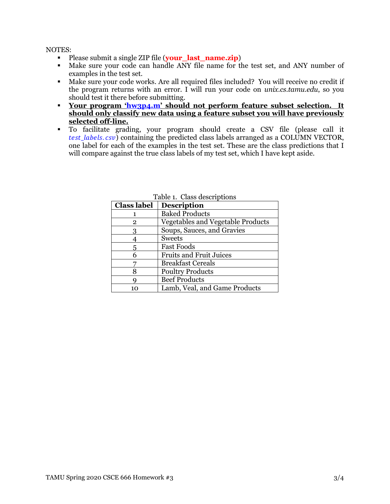NOTES:

- Please submit a single ZIP file (**your\_last\_name.zip**)
- Make sure your code can handle ANY file name for the test set, and ANY number of examples in the test set.
- Make sure your code works. Are all required files included? You will receive no credit if the program returns with an error. I will run your code on *unix.cs.tamu.edu*, so you should test it there before submitting.
- **Your program 'hw3p4.m' should not perform feature subset selection. It should only classify new data using a feature subset you will have previously selected off-line.**
- To facilitate grading, your program should create a CSV file (please call it test *labels.csv*) containing the predicted class labels arranged as a COLUMN VECTOR, one label for each of the examples in the test set. These are the class predictions that I will compare against the true class labels of my test set, which I have kept aside.

| <b>Class label</b> | <b>Description</b>                |  |
|--------------------|-----------------------------------|--|
|                    | <b>Baked Products</b>             |  |
| 2                  | Vegetables and Vegetable Products |  |
| 3                  | Soups, Sauces, and Gravies        |  |
|                    | <b>Sweets</b>                     |  |
| 5                  | <b>Fast Foods</b>                 |  |
|                    | <b>Fruits and Fruit Juices</b>    |  |
|                    | <b>Breakfast Cereals</b>          |  |
| 8                  | <b>Poultry Products</b>           |  |
|                    | <b>Beef Products</b>              |  |
|                    | Lamb, Veal, and Game Products     |  |

Table 1. Class descriptions